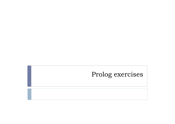# Prolog exercises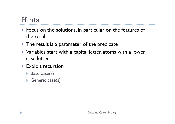## Hints

- Focus on the solutions, in particular on the features of the result
- $\blacktriangleright$  The result is a parameter of the predicate
- $\blacktriangleright$  Variables start with a capital letter, atoms with a lower case letter
- $\blacktriangleright$  Exploit recursion
	- ▶ Base case(s)
	- Generic case(s)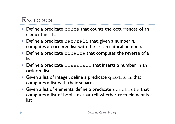### Exercises

- **Define a predicate** conta that counts the occurrences of an element in a list
- Define a predicate naturali that, given a number *<sup>n</sup>*, computes an ordered list with the first *n* natural numbers
- $\blacktriangleright$  Define a predicate  $r$ ibalta that computes the reverse of a list list
- ▶ Define a predicate <code>inserisci</code> that inserts a number in an ordered list
- Given a list of integer, define a predicate quadrati that computes a list with their squares
- $\blacktriangleright$  Given a list of elements, define a predicate  $\verb|sonoliste that$ computes a list of booleans that tell whether each element is a list